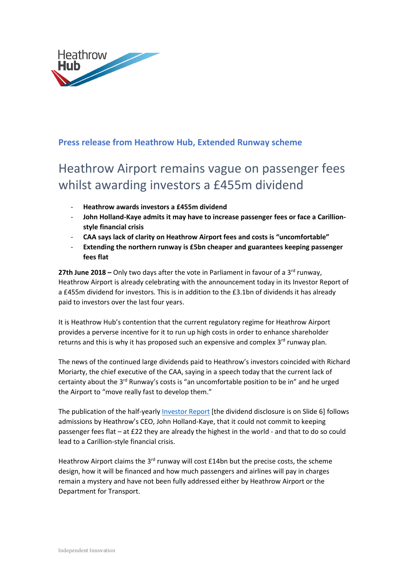

## **Press release from Heathrow Hub, Extended Runway scheme**

## Heathrow Airport remains vague on passenger fees whilst awarding investors a £455m dividend

- **Heathrow awards investors a £455m dividend**
- **John Holland-Kaye admits it may have to increase passenger fees or face a Carillionstyle financial crisis**
- **CAA says lack of clarity on Heathrow Airport fees and costs is "uncomfortable"**
- **Extending the northern runway is £5bn cheaper and guarantees keeping passenger fees flat**

**27th June 2018 –** Only two days after the vote in Parliament in favour of a 3rd runway, Heathrow Airport is already celebrating with the announcement today in its Investor Report of a £455m dividend for investors. This is in addition to the £3.1bn of dividends it has already paid to investors over the last four years.

It is Heathrow Hub's contention that the current regulatory regime for Heathrow Airport provides a perverse incentive for it to run up high costs in order to enhance shareholder returns and this is why it has proposed such an expensive and complex 3<sup>rd</sup> runway plan.

The news of the continued large dividends paid to Heathrow's investors coincided with Richard Moriarty, the chief executive of the CAA, saying in a speech today that the current lack of certainty about the  $3<sup>rd</sup>$  Runway's costs is "an uncomfortable position to be in" and he urged the Airport to "move really fast to develop them."

The publication of the half-yearl[y Investor Report](https://www.heathrow.com/company/investor-centre/document-centre/investor-reports) [the dividend disclosure is on Slide 6] follows admissions by Heathrow's CEO, John Holland-Kaye, that it could not commit to keeping passenger fees flat – at £22 they are already the highest in the world - and that to do so could lead to a Carillion-style financial crisis.

Heathrow Airport claims the  $3<sup>rd</sup>$  runway will cost £14bn but the precise costs, the scheme design, how it will be financed and how much passengers and airlines will pay in charges remain a mystery and have not been fully addressed either by Heathrow Airport or the Department for Transport.